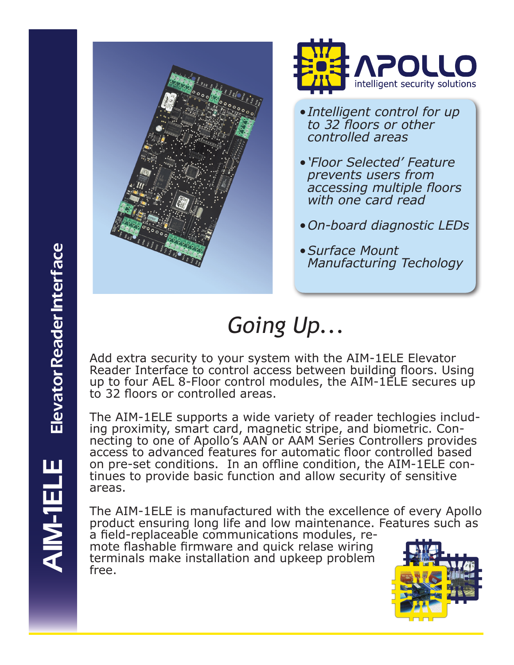



- *• Intelligent control for up to 32 floors or other controlled areas*
- *• 'Floor Selected' Feature prevents users from accessing multiple floors with one card read*
- *• On-board diagnostic LEDs*
- *• Surface Mount Manufacturing Techology*

## *Going Up...*

Add extra security to your system with the AIM-1ELE Elevator Reader Interface to control access between building floors. Using up to four AEL 8-Floor control modules, the AIM-1ELE secures up to 32 floors or controlled areas.

The AIM-1ELE supports a wide variety of reader techlogies includ- ing proximity, smart card, magnetic stripe, and biometric. Con- necting to one of Apollo's AAN or AAM Series Controllers provides access to advanced features for automatic floor controlled based on pre-set conditions. In an offline condition, the AIM-1ELE con- tinues to provide basic function and allow security of sensitive areas.

The AIM-1ELE is manufactured with the excellence of every Apollo product ensuring long life and low maintenance. Features such as

a field-replaceable communications modules, re- mote flashable firmware and quick relase wiring terminals make installation and upkeep problem free.